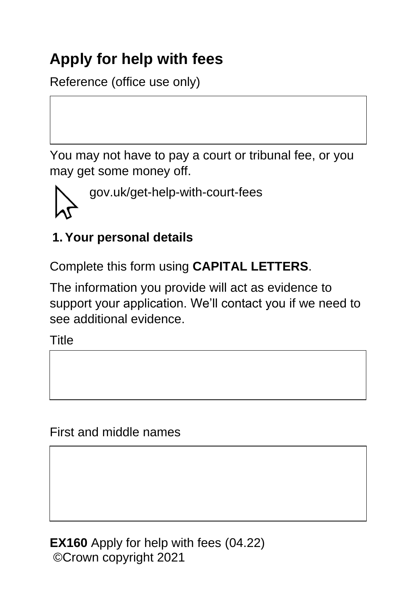# **Apply for help with fees**

Reference (office use only)

You may not have to pay a court or tribunal fee, or you may get some money off.



# **1. Your personal details**

Complete this form using **CAPITAL LETTERS**.

The information you provide will act as evidence to support your application. We'll contact you if we need to see additional evidence.

Title

First and middle names

**EX160** Apply for help with fees (04.22) ©Crown copyright 2021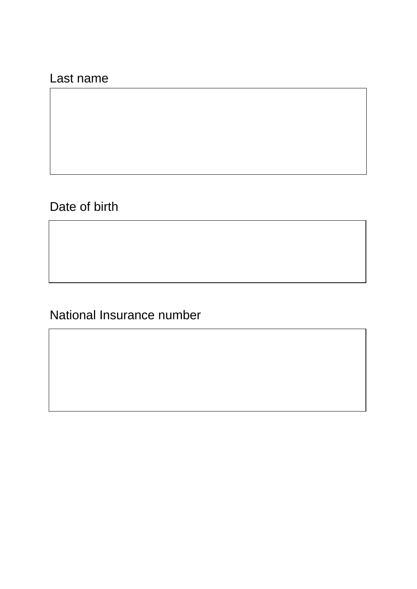#### Last name

Date of birth

National Insurance number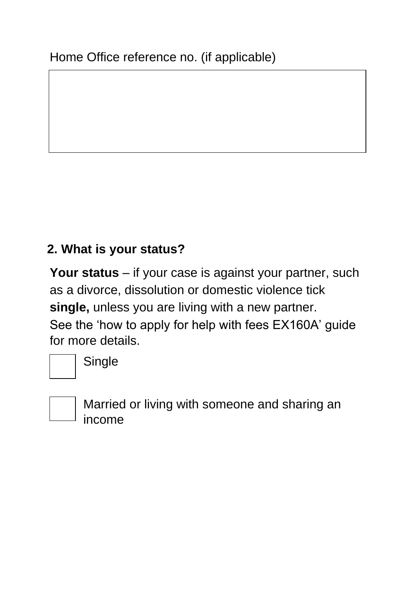#### **2. What is your status?**

**Your status** – if your case is against your partner, such as a divorce, dissolution or domestic violence tick **single,** unless you are living with a new partner. See the 'how to apply for help with fees EX160A' guide for more details.



Single



Married or living with someone and sharing an income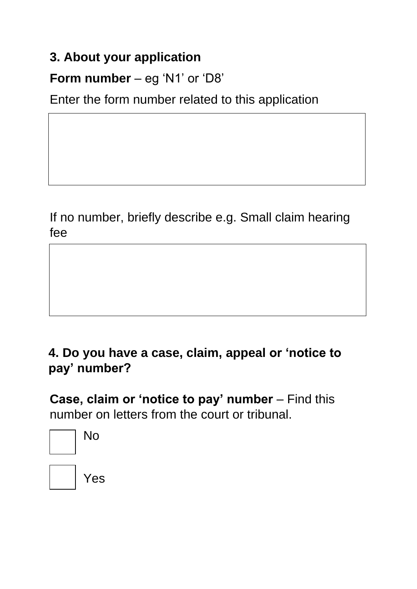## **3. About your application**

# **Form number** – eg 'N1' or 'D8'

Enter the form number related to this application

If no number, briefly describe e.g. Small claim hearing fee

### **4. Do you have a case, claim, appeal or 'notice to pay' number?**

**Case, claim or 'notice to pay' number** – Find this number on letters from the court or tribunal.

| No |
|----|
|    |

Yes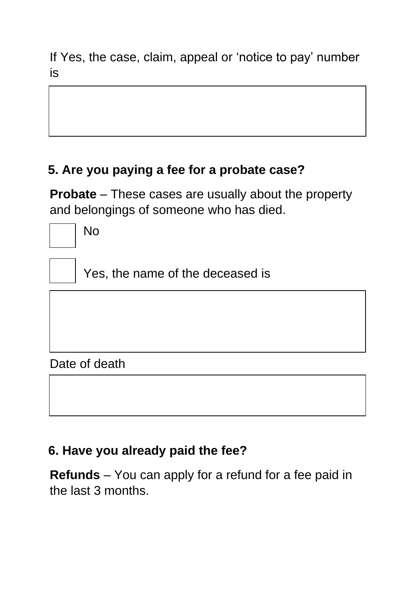If Yes, the case, claim, appeal or 'notice to pay' number is

## **5. Are you paying a fee for a probate case?**

**Probate** – These cases are usually about the property and belongings of someone who has died.

No

Yes, the name of the deceased is

#### Date of death

#### **6. Have you already paid the fee?**

**Refunds** – You can apply for a refund for a fee paid in the last 3 months.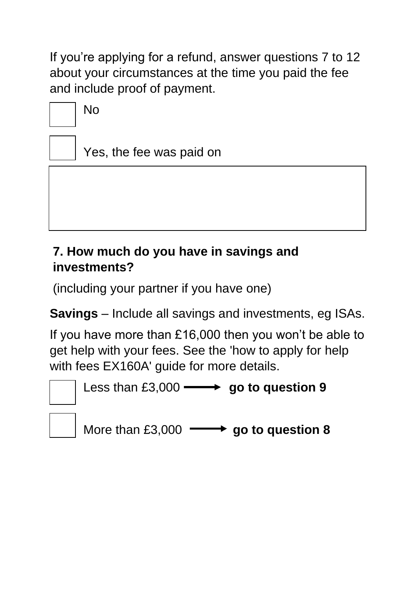If you're applying for a refund, answer questions 7 to 12 about your circumstances at the time you paid the fee and include proof of payment.

No

Yes, the fee was paid on

## **7. How much do you have in savings and investments?**

(including your partner if you have one)

**Savings** – Include all savings and investments, eg ISAs.

If you have more than £16,000 then you won't be able to get help with your fees. See the 'how to apply for help with fees EX160A' guide for more details.



Less than £3,000  $\longrightarrow$  go to question 9

More than £3,000  $\longrightarrow$  go to question 8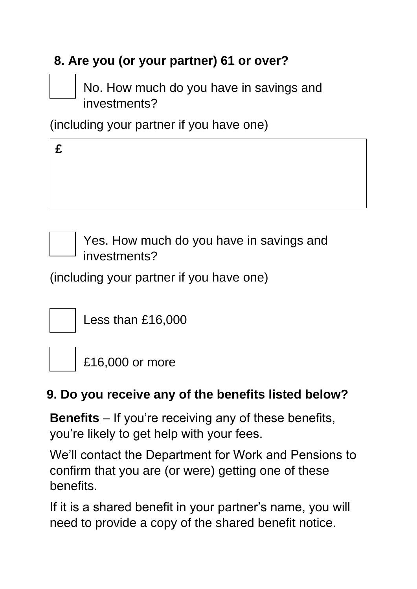# **8. Are you (or your partner) 61 or over?**

No. How much do you have in savings and investments?

(including your partner if you have one)

Yes. How much do you have in savings and investments?

(including your partner if you have one)



Less than £16,000



£16,000 or more

# **9. Do you receive any of the benefits listed below?**

**Benefits** – If you're receiving any of these benefits, you're likely to get help with your fees.

We'll contact the Department for Work and Pensions to confirm that you are (or were) getting one of these benefits.

If it is a shared benefit in your partner's name, you will need to provide a copy of the shared benefit notice.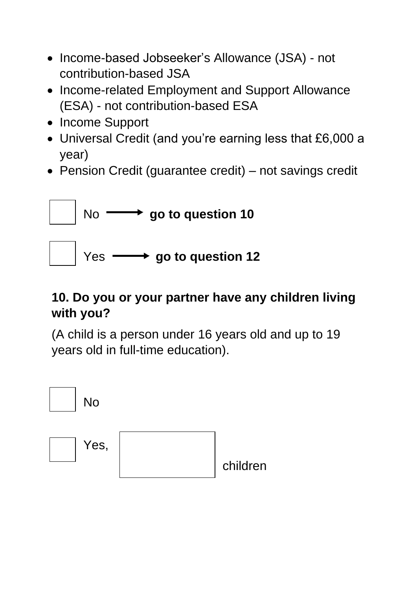- Income-based Jobseeker's Allowance (JSA) not contribution-based JSA
- Income-related Employment and Support Allowance (ESA) - not contribution-based ESA
- Income Support
- Universal Credit (and you're earning less that £6,000 a year)
- Pension Credit (guarantee credit) not savings credit



### **10. Do you or your partner have any children living with you?**

(A child is a person under 16 years old and up to 19 years old in full-time education).

| <b>No</b> |          |
|-----------|----------|
| Yes,      | children |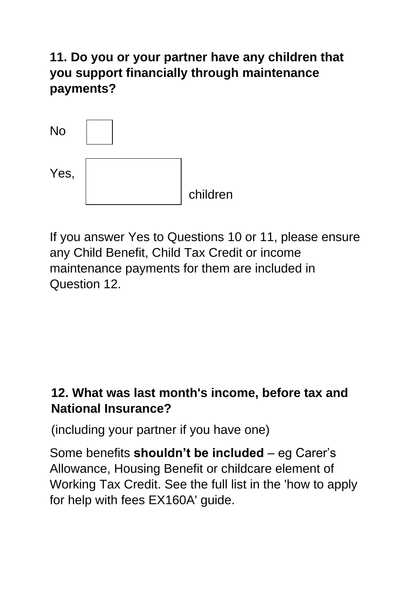**11. Do you or your partner have any children that you support financially through maintenance payments?**



If you answer Yes to Questions 10 or 11, please ensure any Child Benefit, Child Tax Credit or income maintenance payments for them are included in Question 12.

## **12. What was last month's income, before tax and National Insurance?**

(including your partner if you have one)

Some benefits **shouldn't be included** – eg Carer's Allowance, Housing Benefit or childcare element of Working Tax Credit. See the full list in the 'how to apply for help with fees EX160A' guide.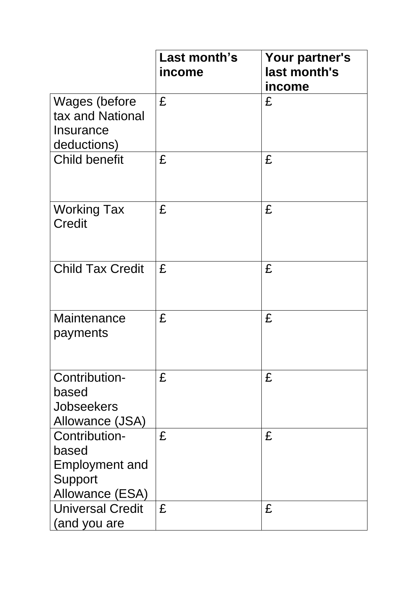|                                                                               | Last month's<br>income | Your partner's<br>last month's<br>income |
|-------------------------------------------------------------------------------|------------------------|------------------------------------------|
| Wages (before<br>tax and National<br>Insurance<br>deductions)                 | £                      | £                                        |
| <b>Child benefit</b>                                                          | £                      | £                                        |
| <b>Working Tax</b><br><b>Credit</b>                                           | £                      | £                                        |
| <b>Child Tax Credit</b>                                                       | £                      | £                                        |
| Maintenance<br>payments                                                       | £                      | £                                        |
| Contribution-<br>based<br><b>Jobseekers</b><br>Allowance (JSA)                | £                      | £                                        |
| Contribution-<br>based<br><b>Employment and</b><br>Support<br>Allowance (ESA) | £                      | £                                        |
| <b>Universal Credit</b><br>(and you are                                       | £                      | £                                        |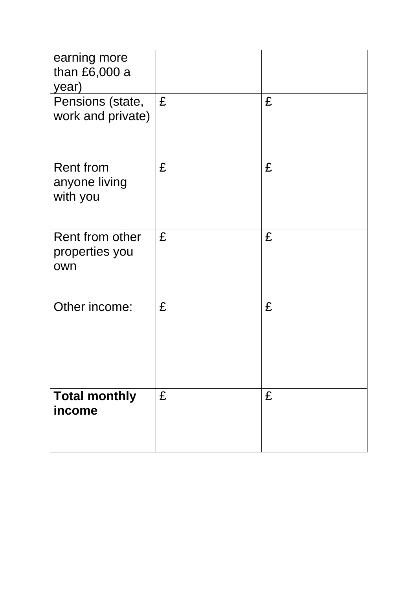| earning more<br>than £6,000 a<br>year)        |   |   |
|-----------------------------------------------|---|---|
| Pensions (state,<br>work and private)         | £ | £ |
| <b>Rent from</b><br>anyone living<br>with you | £ | £ |
| Rent from other<br>properties you<br>own      | £ | £ |
| Other income:                                 | £ | £ |
| <b>Total monthly</b><br>income                | £ | £ |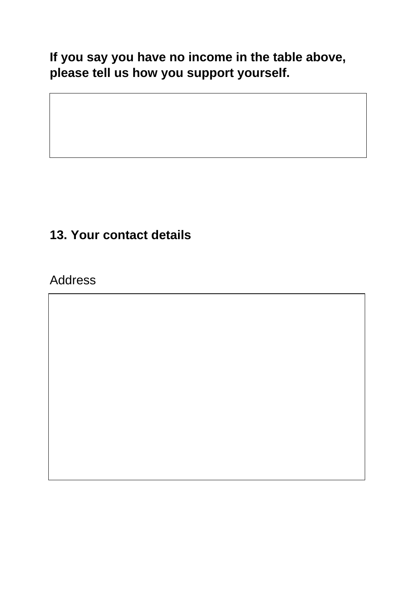**If you say you have no income in the table above, please tell us how you support yourself.**

## **13. Your contact details**

Address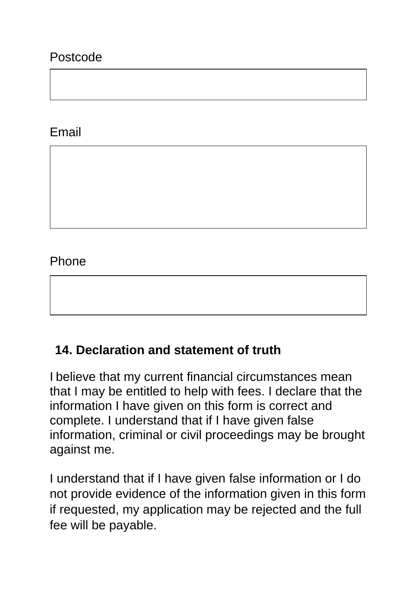#### Postcode

#### Email

#### Phone

#### **14. Declaration and statement of truth**

I believe that my current financial circumstances mean that I may be entitled to help with fees. I declare that the information I have given on this form is correct and complete. I understand that if I have given false information, criminal or civil proceedings may be brought against me.

I understand that if I have given false information or I do not provide evidence of the information given in this form if requested, my application may be rejected and the full fee will be payable.